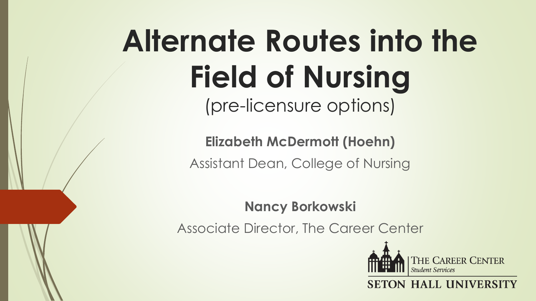# **Alternate Routes into the Field of Nursing** (pre-licensure options)

**Elizabeth McDermott (Hoehn)** Assistant Dean, College of Nursing

**Nancy Borkowski**

Associate Director, The Career Center



**HALL UNIVERS**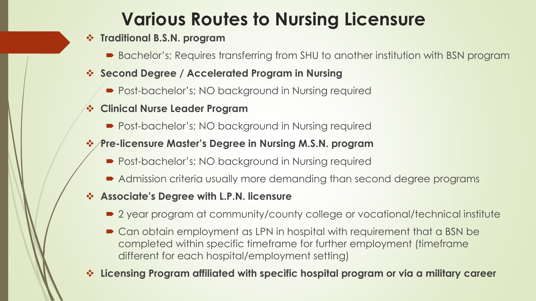## **Various Routes to Nursing Licensure**

#### **Traditional B.S.N. program**

- Bachelor's; Requires transferring from SHU to another institution with BSN program
- **Second Degree / Accelerated Program in Nursing**
	- Post-bachelor's; NO background in Nursing required
- **Clinical Nurse Leader Program**
	- Post-bachelor's; NO background in Nursing required

### **Pre-licensure Master's Degree in Nursing M.S.N. program**

- Post-bachelor's; NO background in Nursing required
- Admission criteria usually more demanding than second degree programs
- **Associate's Degree with L.P.N. licensure**
	- 2 year program at community/county college or vocational/technical institute
	- Can obtain employment as LPN in hospital with requirement that a BSN be completed within specific timeframe for further employment (timeframe different for each hospital/employment setting)
- **Licensing Program affiliated with specific hospital program or via a military career**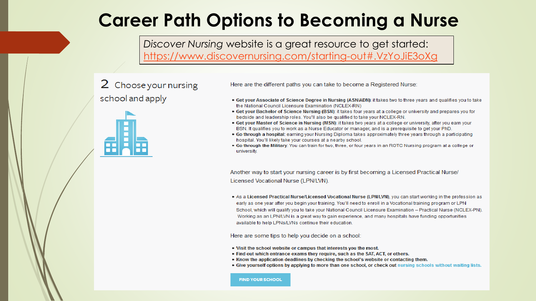## **Career Path Options to Becoming a Nurse**

*Discover Nursing* website is a great resource to get started: <https://www.discovernursing.com/starting-out#.VzYoJiE3oXg>

## 2 Choose your nursing school and apply



Here are the different paths you can take to become a Registered Nurse:

- . Get your Associate of Science Degree in Nursing (ASN/ADN): it takes two to three years and qualifies you to take the National Council Licensure Examination (NCLEX-RN)
- Get your Bachelor of Science Nursing (BSN): it takes four years at a college or university and prepares you for bedside and leadership roles. You'll also be qualified to take your NCLEX-RN.
- Get your Master of Science in Nursing (MSN): it takes two years at a college or university, after you earn your BSN. It qualifies you to work as a Nurse Educator or manager, and is a prerequisite to get your PhD.
- . Go through a hospital: earning your Nursing Diploma takes approximately three years through a participating hospital. You'll likely take your courses at a nearby school.
- . Go through the Military: You can train for two, three, or four years in an ROTC Nursing program at a college or university.

Another way to start your nursing career is by first becoming a Licensed Practical Nurse/ Licensed Vocational Nurse (LPN/LVN).

. As a Licensed Practical Nurse/Licensed Vocational Nurse (LPN/LVN), you can start working in the profession as early as one year after you begin your training. You'll need to enroll in a Vocational training program or LPN School, which will qualify you to take your National Council Licensure Examination - Practical Nurse (NCLEX-PN). Working as an LPN/LVN is a great way to gain experience, and many hospitals have funding opportunities available to help LPNs/LVNs continue their education.

Here are some tips to help you decide on a school:

- . Visit the school website or campus that interests you the most.
- Find out which entrance exams they require, such as the SAT, ACT, or others.
- Know the application deadlines by checking the school's website or contacting them.
- . Give yourself options by applying to more than one school, or check out nursing schools without waiting lists.

**FIND YOUR SCHOOL**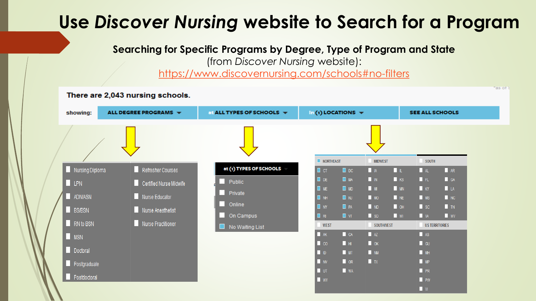## **Use** *Discover Nursing* **website to Search for a Program**

**Searching for Specific Programs by Degree, Type of Program and State** 

(from *Discover Nursing* website):

<https://www.discovernursing.com/schools#no-filters>

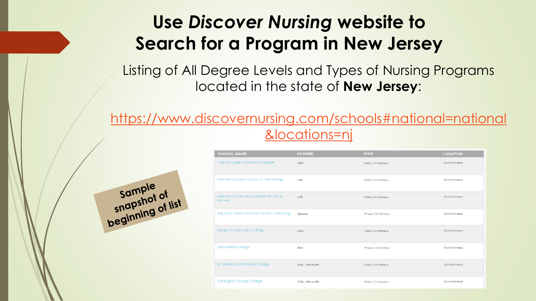## **Use** *Discover Nursing* **website to Search for a Program in New Jersey**

Listing of All Degree Levels and Types of Nursing Programs located in the state of **New Jersey**:

## [https://www.discovernursing.com/schools#national=national](https://www.discovernursing.com/schools#national=national&locations=nj) &locations=nj



| <b>SCHOOL NAME</b>                               | <b>DEGREE</b>  | <b>TYPE</b>        | <b>LOCATION</b> |
|--------------------------------------------------|----------------|--------------------|-----------------|
| Atlantic Cape Community College                  | <b>ASN</b>     | Public, On Campus  | NJ/Northeast    |
| Atlantic County Institute of Technology          | LPN            | Public, On Campus  | NJ/Northeast    |
| Atlantic County Vocational & Technical<br>School | LPN            | Public, On Campus  | NJ/Northeast    |
| Bayonne Medical Center School of Nursing         | Diploma        | Private, On Campus | NJ/Northeast    |
| <b>Bergen Community College</b>                  | <b>ASN</b>     | Public, On Campus  | NJ/Northeast    |
| <b>Bloomfield College</b>                        | <b>BSN</b>     | Private, On Campus | NJ/Northeast    |
| <b>Brookdale Community College</b>               | ASN, LPN-to-RN | Public, On Campus  | NJ/Northeast    |
| <b>Burlington County College</b>                 | ASN, LPN-to-RN | Public, On Campus  | NJ/Northeast    |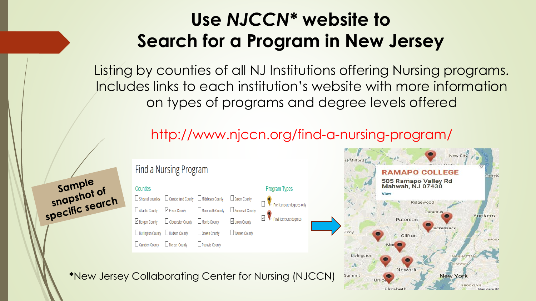## **Use** *NJCCN\** **website to Search for a Program in New Jersey**

Listing by counties of all NJ Institutions offering Nursing programs. Includes links to each institution's website with more information on types of programs and degree levels offered

## http://www.njccn.org/find-a-nursing-program/



sample sample<br>snapshot of snapshot or<br>specific search

### **Find a Nursing Program**

□ Essex County

Gloucester County

Hudson County

Mercer County

Counties

 $\Box$  Show all counties

Atlantic County

 $\vee$  Bergen County

 $\Box$  Burlington County

 $\Box$  Camden County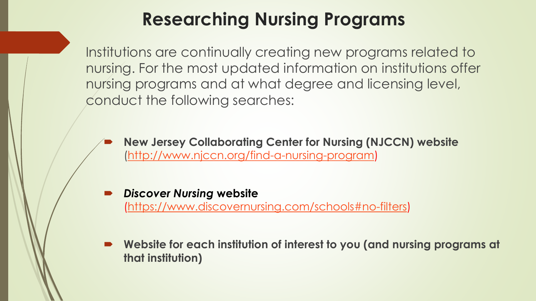## **Researching Nursing Programs**

Institutions are continually creating new programs related to nursing. For the most updated information on institutions offer nursing programs and at what degree and licensing level, conduct the following searches:

 **New Jersey Collaborating Center for Nursing (NJCCN) website**  [\(http://www.njccn.org/find-a-nursing-program](http://www.njccn.org/find-a-nursing-program))

- *Discover Nursing* **website**  [\(https://www.discovernursing.com/schools#no-filters\)](https://www.discovernursing.com/schools#no-filters)
- **Website for each institution of interest to you (and nursing programs at that institution)**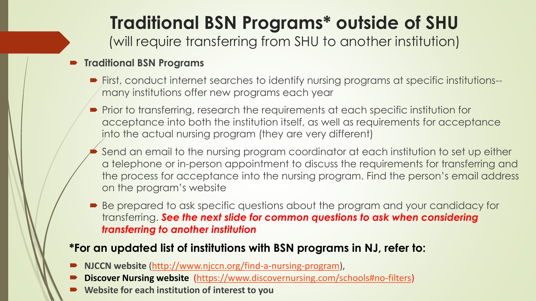# **Traditional BSN Programs\* outside of SHU**

(will require transferring from SHU to another institution)

### **Traditional BSN Programs**

- First, conduct internet searches to identify nursing programs at specific institutions- many institutions offer new programs each year
- **Prior to transferring, research the requirements at each specific institution for** acceptance into both the institution itself, as well as requirements for acceptance into the actual nursing program (they are very different)
- Send an email to the nursing program coordinator at each institution to set up either a telephone or in-person appointment to discuss the requirements for transferring and the process for acceptance into the nursing program. Find the person's email address on the program's website
- Be prepared to ask specific questions about the program and your candidacy for transferring. *See the next slide for common questions to ask when considering transferring to another institution*

### **\*For an updated list of institutions with BSN programs in NJ, refer to:**

- **NJCCN website** [\(http://www.njccn.org/find-a-nursing-program](http://www.njccn.org/find-a-nursing-program)),
- **Discover Nursing website** [\(https://www.discovernursing.com/schools#no-filters\)](https://www.discovernursing.com/schools#no-filters)
- **Website for each institution of interest to you**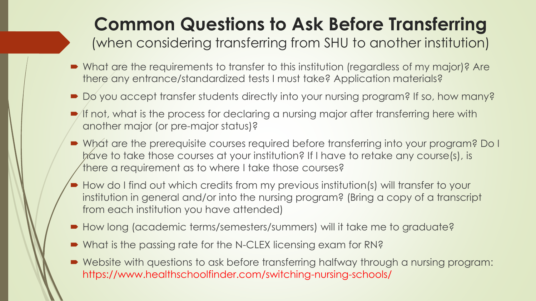## **Common Questions to Ask Before Transferring**

(when considering transferring from SHU to another institution)

- What are the requirements to transfer to this institution (regardless of my major)? Are there any entrance/standardized tests I must take? Application materials?
- Do you accept transfer students directly into your nursing program? If so, how many?
- If not, what is the process for declaring a nursing major after transferring here with another major (or pre-major status)?
- What are the prerequisite courses required before transferring into your program? Do I have to take those courses at your institution? If I have to retake any course(s), is there a requirement as to where I take those courses?
- How do I find out which credits from my previous institution(s) will transfer to your institution in general and/or into the nursing program? (Bring a copy of a transcript from each institution you have attended)
- How long (academic terms/semesters/summers) will it take me to graduate?
- What is the passing rate for the N-CLEX licensing exam for RN?
- Website with questions to ask before transferring halfway through a nursing program: https://www.healthschoolfinder.com/switching-nursing-schools/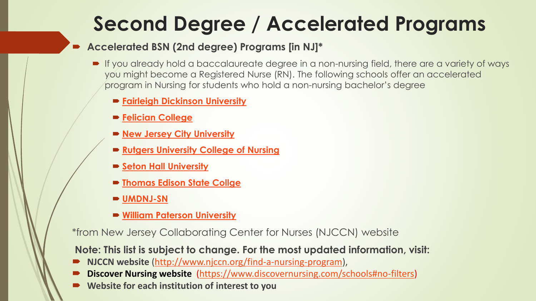# **Second Degree / Accelerated Programs**

### **Accelerated BSN (2nd degree) Programs [in NJ]\***

- If you already hold a baccalaureate degree in a non-nursing field, there are a variety of ways you might become a Registered Nurse (RN). The following schools offer an accelerated program in Nursing for students who hold a non-nursing bachelor's degree
	- **[Fairleigh Dickinson University](http://view.fdu.edu/default.aspx?id=6358)**
	- **Felician [College](http://www.felician.edu/divisions/nursing-health-management/adult-undergraduate/accelerated-bachelor-bsn)**
	- **[New Jersey City University](http://www.njcu.edu/nursing/accelerated-bsn/)**
	- **[Rutgers University College of Nursing](http://nursing.rutgers.edu/academics/about-undergraduate-study-nursing/accelerated-2nd-degree-bs-nursing)**
	- **[Seton Hall University](http://www.shu.edu/academics/nursing/bsn-accelerated/)**
	- **[Thomas Edison State Collge](http://www.tesc.edu/nursing/2nd-degree-bsn.cfm)**
	- **[UMDNJ-SN](http://sn.umdnj.edu/academics/accelbsn/)**
	- **[William Paterson University](http://www.wpunj.edu/cosh/departments/nursing/undergraduate-programs/acceleratedfast-track-program/)**

\*from New Jersey Collaborating Center for Nurses (NJCCN) website

**Note: This list is subject to change. For the most updated information, visit:**

- **NJCCN website** [\(http://www.njccn.org/find-a-nursing-program](http://www.njccn.org/find-a-nursing-program)),
- **Discover Nursing website** [\(https://www.discovernursing.com/schools#no-filters\)](https://www.discovernursing.com/schools)
- **Website for each institution of interest to you**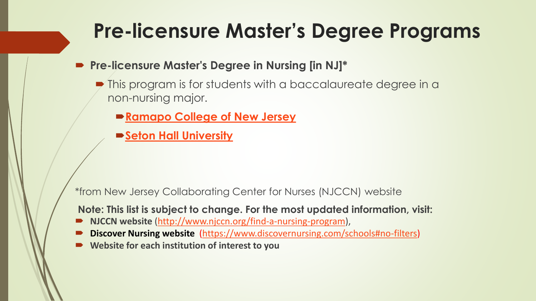# **Pre-licensure Master's Degree Programs**

- **Pre-licensure Master's Degree in Nursing [in NJ]\***
	- $\blacktriangleright$  This program is for students with a baccalaureate degree in a non-nursing major.
		- **[Ramapo College of New Jersey](http://www.ramapo.edu/catalog_13_14/msn.html)**
		- **[Seton Hall University](http://www.shu.edu/academics/nursing/clinical-nurse-leader/index.cfm)**

\*from New Jersey Collaborating Center for Nurses (NJCCN) website

**Note: This list is subject to change. For the most updated information, visit:**

- **NJCCN website** [\(http://www.njccn.org/find-a-nursing-program\)](http://www.njccn.org/find-a-nursing-program),
- **Discover Nursing website** [\(https://www.discovernursing.com/schools#no-filters](https://www.discovernursing.com/schools))
- **Website for each institution of interest to you**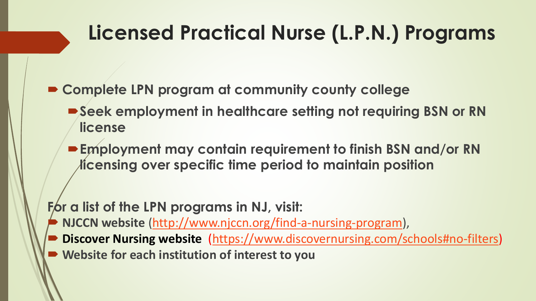# **Licensed Practical Nurse (L.P.N.) Programs**

**Complete LPN program at community county college**

- Seek employment in healthcare setting not requiring BSN or RN **license**
- **Employment may contain requirement to finish BSN and/or RN licensing over specific time period to maintain position**

For a list of the LPN programs in NJ, visit:

- **NJCCN website** ([http://www.njccn.org/find-a-nursing-program\)](http://www.njccn.org/find-a-nursing-program),
- **Discover Nursing website** [\(https://www.discovernursing.com/schools#no-filters](https://www.discovernursing.com/schools))
- **Website for each institution of interest to you**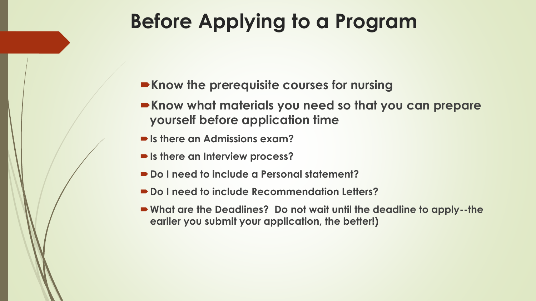# **Before Applying to a Program**

- **Know the prerequisite courses for nursing**
- **Know what materials you need so that you can prepare yourself before application time**
- **Is there an Admissions exam?**
- **Is there an Interview process?**
- Do I need to include a Personal statement?
- **Do I need to include Recommendation Letters?**
- **What are the Deadlines? Do not wait until the deadline to apply--the earlier you submit your application, the better!)**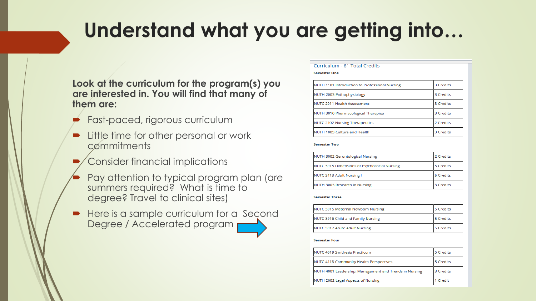# **Understand what you are getting into…**

#### **Look at the curriculum for the program(s) you are interested in. You will find that many of them are:**

- Fast-paced, rigorous curriculum
- Little time for other personal or work commitments
- Consider financial implications
- Pay attention to typical program plan (are summers required? What is time to degree? Travel to clinical sites)
- Here is a sample curriculum for a Second Degree / Accelerated program p

#### Curriculum - 61 Total Credits

#### **Semester One**

| NUTH 1101 Introduction to Professional Nursing | 3 Credits |
|------------------------------------------------|-----------|
| NUTH 2003 Pathophysiology                      | 3 Credits |
| NUTC 2011 Health Assessment                    | 3 Credits |
| NUTH 3010 Pharmacological Therapies            | 3 Credits |
| <b>NUTC 2102 Nursing Therapeutics</b>          | 2 Credits |
| NUTH 1003 Culture and Health                   | 3 Credits |

#### **Semester Two**

| NUTH 3002 Gerontological Nursing             | 2 Credits |
|----------------------------------------------|-----------|
| NUTC 3915 Dimensions of Psychosocial Nursing | 5 Credits |
| NUTC 3113 Adult Nursing I                    | 5 Credits |
| NUTH 3003 Research in Nursing                | 3 Credits |

#### **Semester Three**

| NUTC 3915 Maternal Newborn Nursing | 5 Credits |
|------------------------------------|-----------|
| NUTC 3916 Child and Family Nursing | 5 Credits |
| NUTC 3917 Acute Adult Nursing      | 5 Credits |

#### **Semester Four**

| NUTC 4019 Synthesis Practicum                          | 5 Credits |
|--------------------------------------------------------|-----------|
| NUTC 4118 Community Health Perspectives                | 5 Credits |
| NUTH 4001 Leadership, Management and Trends in Nursing | 3 Credits |
| NUTH 2002 Legal Aspects of Nursing                     | 1 Credit  |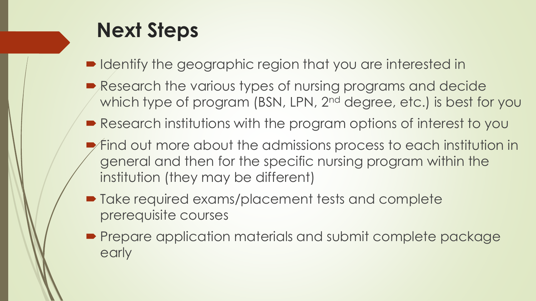# **Next Steps**

- Identify the geographic region that you are interested in
- Research the various types of nursing programs and decide which type of program (BSN, LPN, 2<sup>nd</sup> degree, etc.) is best for you
- Research institutions with the program options of interest to you
- $\blacktriangleright$  Find out more about the admissions process to each institution in general and then for the specific nursing program within the institution (they may be different)
- Take required exams/placement tests and complete prerequisite courses
- **Prepare application materials and submit complete package** early